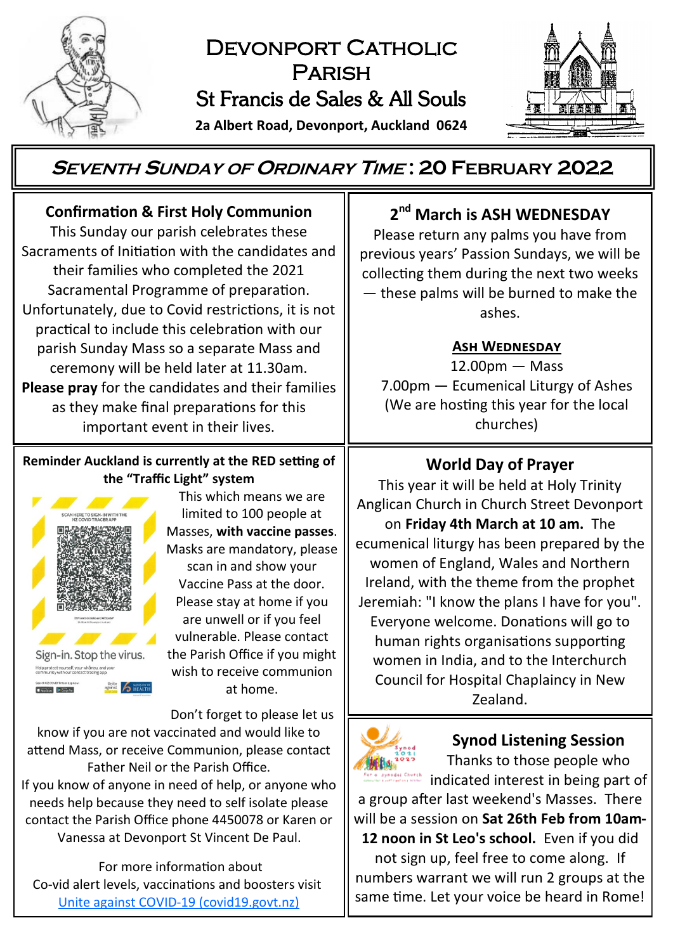

# DEVONPORT CATHOLIC Parish St Francis de Sales & All Souls

**2a Albert Road, Devonport, Auckland 0624**



# **<sup>S</sup>EVENTH <sup>S</sup>UNDAY OF <sup>O</sup>RDINARY <sup>T</sup>IME : 20 FEBRUARY 2022**

## **Confirmation & First Holy Communion**

This Sunday our parish celebrates these Sacraments of Initiation with the candidates and their families who completed the 2021 Sacramental Programme of preparation. Unfortunately, due to Covid restrictions, it is not practical to include this celebration with our parish Sunday Mass so a separate Mass and ceremony will be held later at 11.30am. **Please pray** for the candidates and their families as they make final preparations for this important event in their lives.

#### **Reminder Auckland is currently at the RED setting of the "Traffic Light" system**



This which means we are limited to 100 people at Masses, **with vaccine passes**. Masks are mandatory, please scan in and show your Vaccine Pass at the door. Please stay at home if you are unwell or if you feel vulnerable. Please contact the Parish Office if you might wish to receive communion at home.

Don't forget to please let us know if you are not vaccinated and would like to attend Mass, or receive Communion, please contact Father Neil or the Parish Office.

If you know of anyone in need of help, or anyone who needs help because they need to self isolate please contact the Parish Office phone 4450078 or Karen or Vanessa at Devonport St Vincent De Paul.

For more information about Co-vid alert levels, vaccinations and boosters visit [Unite against COVID](https://covid19.govt.nz/)-19 (covid19.govt.nz)

# **2 nd March is ASH WEDNESDAY**

Please return any palms you have from previous years' Passion Sundays, we will be collecting them during the next two weeks — these palms will be burned to make the ashes.

#### **Ash Wednesday**

12.00pm — Mass 7.00pm — Ecumenical Liturgy of Ashes (We are hosting this year for the local churches)

## **World Day of Prayer**

This year it will be held at Holy Trinity Anglican Church in Church Street Devonport on **Friday 4th March at 10 am.** The ecumenical liturgy has been prepared by the women of England, Wales and Northern Ireland, with the theme from the prophet Jeremiah: "I know the plans I have for you". Everyone welcome. Donations will go to human rights organisations supporting women in India, and to the Interchurch Council for Hospital Chaplaincy in New Zealand.



## **Synod Listening Session**

Thanks to those people who indicated interest in being part of

a group after last weekend's Masses. There will be a session on **Sat 26th Feb from 10am-12 noon in St Leo's school.** Even if you did not sign up, feel free to come along. If numbers warrant we will run 2 groups at the same time. Let your voice be heard in Rome!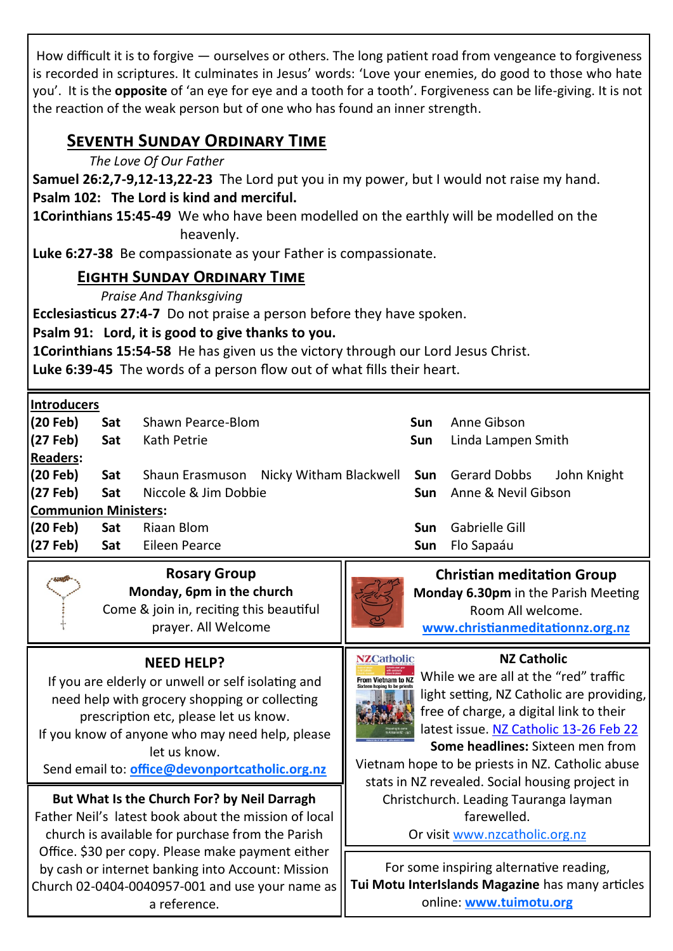How difficult it is to forgive — ourselves or others. The long patient road from vengeance to forgiveness is recorded in scriptures. It culminates in Jesus' words: 'Love your enemies, do good to those who hate you'. It is the **opposite** of 'an eye for eye and a tooth for a tooth'. Forgiveness can be life-giving. It is not the reaction of the weak person but of one who has found an inner strength.

## **Seventh Sunday Ordinary Time**

*The Love Of Our Father*

**Samuel 26:2,7-9,12-13,22-23** The Lord put you in my power, but I would not raise my hand. **Psalm 102: The Lord is kind and merciful.**

**1Corinthians 15:45-49** We who have been modelled on the earthly will be modelled on the heavenly.

**Luke 6:27-38** Be compassionate as your Father is compassionate.

### **Eighth Sunday Ordinary Time**

*Praise And Thanksgiving*

**Ecclesiasticus 27:4-7** Do not praise a person before they have spoken.

**Psalm 91: Lord, it is good to give thanks to you.**

**1Corinthians 15:54-58** He has given us the victory through our Lord Jesus Christ.

**Luke 6:39-45** The words of a person flow out of what fills their heart.

**Introducers**

| Sat                         |             | <b>Sun</b>                                                                              | Anne Gibson                                             |  |
|-----------------------------|-------------|-----------------------------------------------------------------------------------------|---------------------------------------------------------|--|
| Sat                         |             | Sun                                                                                     | Linda Lampen Smith                                      |  |
|                             |             |                                                                                         |                                                         |  |
| Sat                         |             |                                                                                         | John Knight                                             |  |
| (27 Feb) Sat                |             |                                                                                         | <b>Sun</b> Anne & Nevil Gibson                          |  |
| <b>Communion Ministers:</b> |             |                                                                                         |                                                         |  |
| l(20 Feb)<br>Sat            |             |                                                                                         | <b>Sun</b> Gabrielle Gill                               |  |
| Sat                         |             | Sun.                                                                                    | Flo Sapaáu                                              |  |
|                             | imtroducers | Shawn Pearce-Blom<br>Kath Petrie<br>Niccole & Jim Dobbie<br>Riaan Blom<br>Eileen Pearce | Shaun Erasmuson Nicky Witham Blackwell Sun Gerard Dobbs |  |

**Rosary Group Monday, 6pm in the church** Come & join in, reciting this beautiful prayer. All Welcome



**Christian meditation Group Monday 6.30pm** in the Parish Meeting Room All welcome. **[www.christianmeditationnz.org.nz](http://www.christianmeditationnz.org.nz/)**

### **NEED HELP?**

If you are elderly or unwell or self isolating and need help with grocery shopping or collecting prescription etc, please let us know. If you know of anyone who may need help, please

let us know.

Send email to: **[office@devonportcatholic.org.nz](mailto:office@devonportcatholic.org.nz)**

### **But What Is the Church For? by Neil Darragh**

Father Neil's latest book about the mission of local church is available for purchase from the Parish Office. \$30 per copy. Please make payment either by cash or internet banking into Account: Mission Church 02-0404-0040957-001 and use your name as a reference.

**NZ Catholic**



 $\frac{1}{2}$  From Vietnam to N2 While we are all at the "red" traffic light setting, NZ Catholic are providing, free of charge, a digital link to their latest issue. [NZ Catholic 13](https://indd.adobe.com/view/d85454b0-a062-4280-8afb-9a123f98b1d3)-26 Feb 22 **Some headlines:** Sixteen men from

Vietnam hope to be priests in NZ. Catholic abuse stats in NZ revealed. Social housing project in Christchurch. Leading Tauranga layman farewelled.

Or visit [www.nzcatholic.org.nz](https://nzcatholic.org.nz/)

For some inspiring alternative reading, **Tui Motu InterIslands Magazine** has many articles online: **[www.tuimotu.org](http://www.tuimotu.org)**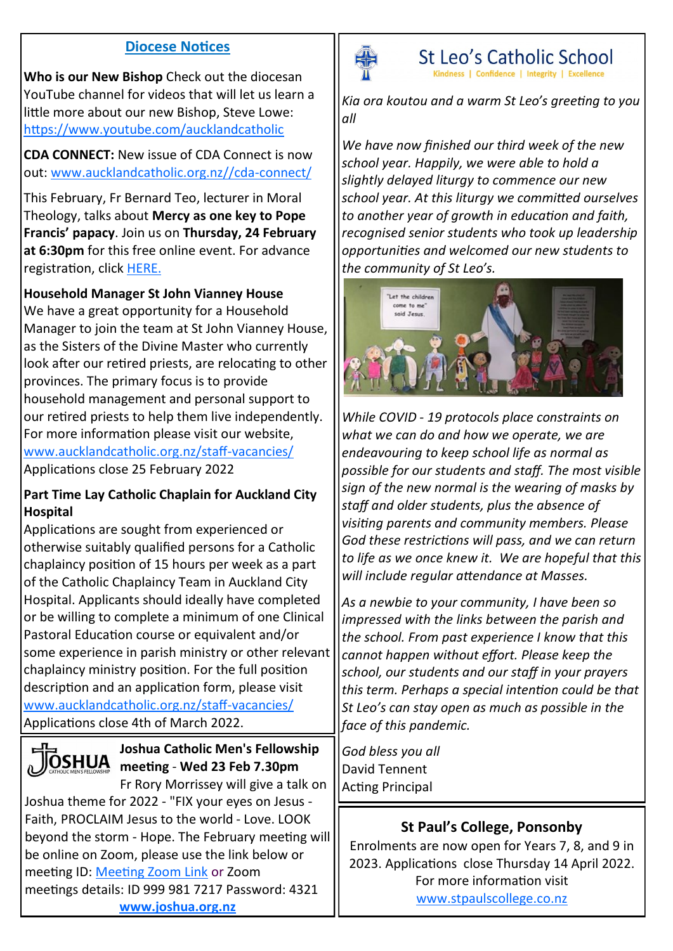#### **Diocese Notices**

**Who is our New Bishop** Check out the diocesan YouTube channel for videos that will let us learn a little more about our new Bishop, Steve Lowe: <https://www.youtube.com/aucklandcatholic>

**CDA CONNECT:** New issue of CDA Connect is now out: [www.aucklandcatholic.org.nz//cda](https://www.aucklandcatholic.org.nz/services/cda-connect/)-connect/

This February, Fr Bernard Teo, lecturer in Moral Theology, talks about **Mercy as one key to Pope Francis' papacy**. Join us on **Thursday, 24 February at 6:30pm** for this free online event. For advance registration, click [HERE.](https://us02web.zoom.us/meeting/register/tZYpdeCtqTwtGNeYwHxMyGnf91RPD98uR773)

#### **Household Manager St John Vianney House**

We have a great opportunity for a Household Manager to join the team at St John Vianney House, as the Sisters of the Divine Master who currently look after our retired priests, are relocating to other provinces. The primary focus is to provide household management and personal support to our retired priests to help them live independently. For more information please visit our website, [www.aucklandcatholic.org.nz/staff](http://www.aucklandcatholic.org.nz/staff-vacancies/)-vacancies/ Applications close 25 February 2022

#### **Part Time Lay Catholic Chaplain for Auckland City Hospital**

Applications are sought from experienced or otherwise suitably qualified persons for a Catholic chaplaincy position of 15 hours per week as a part of the Catholic Chaplaincy Team in Auckland City Hospital. Applicants should ideally have completed or be willing to complete a minimum of one Clinical Pastoral Education course or equivalent and/or some experience in parish ministry or other relevant chaplaincy ministry position. For the full position description and an application form, please visit [www.aucklandcatholic.org.nz/staff](http://www.aucklandcatholic.org.nz/staff-vacancies/)-vacancies/ Applications close 4th of March 2022.



## **Joshua Catholic Men's Fellowship meeting** - **Wed 23 Feb 7.30pm**

Fr Rory Morrissey will give a talk on Joshua theme for 2022 - "FIX your eyes on Jesus - Faith, PROCLAIM Jesus to the world - Love. LOOK beyond the storm - Hope. The February meeting will be online on Zoom, please use the link below or meeting ID: [Meeting Zoom Link](https://us02web.zoom.us/j/9999817217?pwd=VUlJdlRUNkRmMi9oTXdzcHA3bzBOQT09) or Zoom meetings details: ID 999 981 7217 Password: 4321 **[www.joshua.org.nz](http://www.joshua.org.nz)**



St Leo's Catholic School Confidence | Integrity

*Kia ora koutou and a warm St Leo's greeting to you all*

*We have now finished our third week of the new school year. Happily, we were able to hold a slightly delayed liturgy to commence our new school year. At this liturgy we committed ourselves to another year of growth in education and faith, recognised senior students who took up leadership opportunities and welcomed our new students to the community of St Leo's.*



*While COVID - 19 protocols place constraints on what we can do and how we operate, we are endeavouring to keep school life as normal as possible for our students and staff. The most visible sign of the new normal is the wearing of masks by staff and older students, plus the absence of visiting parents and community members. Please God these restrictions will pass, and we can return to life as we once knew it. We are hopeful that this will include regular attendance at Masses.* 

*As a newbie to your community, I have been so impressed with the links between the parish and the school. From past experience I know that this cannot happen without effort. Please keep the school, our students and our staff in your prayers this term. Perhaps a special intention could be that St Leo's can stay open as much as possible in the face of this pandemic.*

*God bless you all* David Tennent Acting Principal

#### **St Paul's College, Ponsonby**

Enrolments are now open for Years 7, 8, and 9 in 2023. Applications close Thursday 14 April 2022. For more information visit [www.stpaulscollege.co.nz](http://www.stpaulscollege.co.nz)